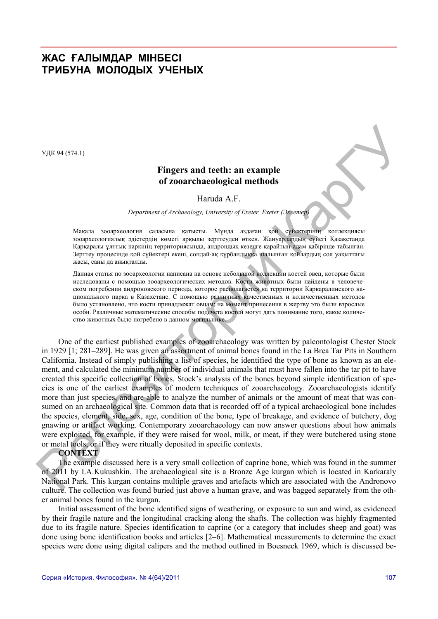# **ЖАС ҒАЛЫМДАР МІНБЕСІ ТРИБУНА МОЛОДЫХ УЧЕНЫХ**

УДК 94 (574.1)

## **Fingers and teeth: an example of zooarchaeological methods**

### Haruda A.F.

*Department of Archaeology, University of Exeter, Exeter (Эксетер)* 

Мақала зооархеология саласына қатысты. Мұнда аздаған қой сүйектерінің коллекциясы зооархеологиялық əдістердің көмегі арқылы зерттеуден өткен. Жануарлардың сүйегі Қазақстанда Қарқаралы ұлттық паркінің территориясында, андрондық кезеңге қарайтын адам қабірінде табылған. Зерттеу процесінде қой сүйектері екені, сондай-ақ құрбандыққа шалынған қойлардың сол уақыттағы жасы, саны да анықталды.

Данная статья по зооархеологии написана на основе небольшой коллекции костей овец, которые были исследованы с помощью зооархеологических методов. Кости животных были найдены в человеческом погребении андроновского периода, которое располагается на территории Каркаралинского национального парка в Казахстане. С помощью различных качественных и количественных методов было установлено, что кости принадлежат овцам; на момент принесения в жертву это были взрослые особи. Различные математические способы подсчета костей могут дать понимание того, какое количество животных было погребено в данном могильнике.

One of the earliest published examples of zooarchaeology was written by paleontologist Chester Stock in 1929 [1; 281–289]. He was given an assortment of animal bones found in the La Brea Tar Pits in Southern California. Instead of simply publishing a list of species, he identified the type of bone as known as an element, and calculated the minimum number of individual animals that must have fallen into the tar pit to have created this specific collection of bones. Stock's analysis of the bones beyond simple identification of species is one of the earliest examples of modern techniques of zooarchaeology. Zooarchaeologists identify more than just species, and are able to analyze the number of animals or the amount of meat that was consumed on an archaeological site. Common data that is recorded off of a typical archaeological bone includes the species, element, side, sex, age, condition of the bone, type of breakage, and evidence of butchery, dog gnawing or artifact working. Contemporary zooarchaeology can now answer questions about how animals were exploited, for example, if they were raised for wool, milk, or meat, if they were butchered using stone or metal tools, or if they were ritually deposited in specific contexts. YJK 94 (574.))<br>
Fingers and teeth: an example<br>
of zovarchaeological methods<br>
Haruda A.E.<br> *Department of Achaeological methods*<br>
Haruda A.E.<br> *Department of Achaeological methods*<br>
Massam somprocessrum cancels are active

#### **CONTEXT**

The example discussed here is a very small collection of caprine bone, which was found in the summer of 2011 by I.A.Kukushkin. The archaeological site is a Bronze Age kurgan which is located in Karkaraly National Park. This kurgan contains multiple graves and artefacts which are associated with the Andronovo culture. The collection was found buried just above a human grave, and was bagged separately from the other animal bones found in the kurgan.

Initial assessment of the bone identified signs of weathering, or exposure to sun and wind, as evidenced by their fragile nature and the longitudinal cracking along the shafts. The collection was highly fragmented due to its fragile nature. Species identification to caprine (or a category that includes sheep and goat) was done using bone identification books and articles [2–6]. Mathematical measurements to determine the exact species were done using digital calipers and the method outlined in Boesneck 1969, which is discussed be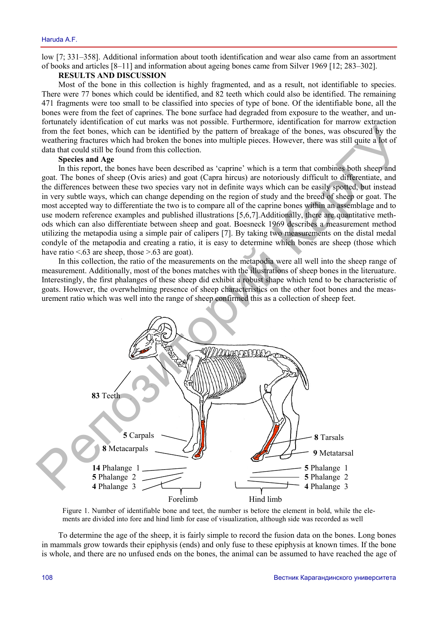low [7; 331–358]. Additional information about tooth identification and wear also came from an assortment of books and articles [8–11] and information about ageing bones came from Silver 1969 [12; 283–302].

### **RESULTS AND DISCUSSION**

Most of the bone in this collection is highly fragmented, and as a result, not identifiable to species. There were 77 bones which could be identified, and 82 teeth which could also be identified. The remaining 471 fragments were too small to be classified into species of type of bone. Of the identifiable bone, all the bones were from the feet of caprines. The bone surface had degraded from exposure to the weather, and unfortunately identification of cut marks was not possible. Furthermore, identification for marrow extraction from the feet bones, which can be identified by the pattern of breakage of the bones, was obscured by the weathering fractures which had broken the bones into multiple pieces. However, there was still quite a lot of data that could still be found from this collection.

### **Species and Age**

In this report, the bones have been described as 'caprine' which is a term that combines both sheep and goat. The bones of sheep (Ovis aries) and goat (Capra hircus) are notoriously difficult to differentiate, and the differences between these two species vary not in definite ways which can be easily spotted, but instead in very subtle ways, which can change depending on the region of study and the breed of sheep or goat. The most accepted way to differentiate the two is to compare all of the caprine bones within an assemblage and to use modern reference examples and published illustrations [5,6,7].Additionally, there are quantitative methods which can also differentiate between sheep and goat. Boesneck 1969 describes a measurement method utilizing the metapodia using a simple pair of calipers [7]. By taking two measurements on the distal medal condyle of the metapodia and creating a ratio, it is easy to determine which bones are sheep (those which have ratio  $\leq 63$  are sheep, those  $\geq 63$  are goat).

In this collection, the ratio of the measurements on the metapodia were all well into the sheep range of measurement. Additionally, most of the bones matches with the illustrations of sheep bones in the literuature. Interestingly, the first phalanges of these sheep did exhibit a robust shape which tend to be characteristic of goats. However, the overwhelming presence of sheep characteristics on the other foot bones and the measurement ratio which was well into the range of sheep confirmed this as a collection of sheep feet.



Figure 1. Number of identifiable bone and teet, the number is before the element in bold, while the elements are divided into fore and hind limb for ease of visualization, although side was recorded as well

To determine the age of the sheep, it is fairly simple to record the fusion data on the bones. Long bones in mammals grow towards their epiphysis (ends) and only fuse to these epiphysis at known times. If the bone is whole, and there are no unfused ends on the bones, the animal can be assumed to have reached the age of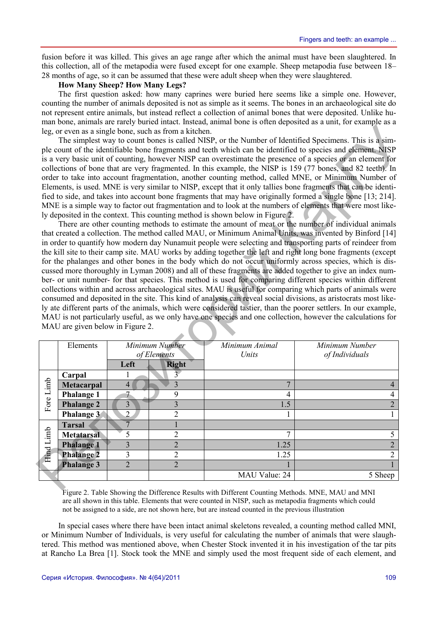fusion before it was killed. This gives an age range after which the animal must have been slaughtered. In this collection, all of the metapodia were fused except for one example. Sheep metapodia fuse between 18– 28 months of age, so it can be assumed that these were adult sheep when they were slaughtered.

### **How Many Sheep? How Many Legs?**

The first question asked: how many caprines were buried here seems like a simple one. However, counting the number of animals deposited is not as simple as it seems. The bones in an archaeological site do not represent entire animals, but instead reflect a collection of animal bones that were deposited. Unlike human bone, animals are rarely buried intact. Instead, animal bone is often deposited as a unit, for example as a leg, or even as a single bone, such as from a kitchen.

|                                                                                                                                                                                                                             |                                                                                                                | I bone, annihad are farely barrea mace. Indicate, annihar bone to orien deposited as a unit, for examp |                               |                  |                |  |  |  |
|-----------------------------------------------------------------------------------------------------------------------------------------------------------------------------------------------------------------------------|----------------------------------------------------------------------------------------------------------------|--------------------------------------------------------------------------------------------------------|-------------------------------|------------------|----------------|--|--|--|
|                                                                                                                                                                                                                             | leg, or even as a single bone, such as from a kitchen.                                                         |                                                                                                        |                               |                  |                |  |  |  |
|                                                                                                                                                                                                                             | The simplest way to count bones is called NISP, or the Number of Identified Specimens. This is a sim-          |                                                                                                        |                               |                  |                |  |  |  |
|                                                                                                                                                                                                                             | ple count of the identifiable bone fragments and teeth which can be identified to species and element. NISP    |                                                                                                        |                               |                  |                |  |  |  |
| is a very basic unit of counting, however NISP can overestimate the presence of a species or an element for                                                                                                                 |                                                                                                                |                                                                                                        |                               |                  |                |  |  |  |
|                                                                                                                                                                                                                             | collections of bone that are very fragmented. In this example, the NISP is 159 (77 bones, and 82 teeth). In    |                                                                                                        |                               |                  |                |  |  |  |
| order to take into account fragmentation, another counting method, called MNE, or Minimum Number of                                                                                                                         |                                                                                                                |                                                                                                        |                               |                  |                |  |  |  |
|                                                                                                                                                                                                                             | Elements, is used. MNE is very similar to NISP, except that it only tallies bone fragments that can be identi- |                                                                                                        |                               |                  |                |  |  |  |
|                                                                                                                                                                                                                             | fied to side, and takes into account bone fragments that may have originally formed a single bone [13; 214].   |                                                                                                        |                               |                  |                |  |  |  |
| MNE is a simple way to factor out fragmentation and to look at the numbers of elements that were most like-                                                                                                                 |                                                                                                                |                                                                                                        |                               |                  |                |  |  |  |
| ly deposited in the context. This counting method is shown below in Figure 2.                                                                                                                                               |                                                                                                                |                                                                                                        |                               |                  |                |  |  |  |
| There are other counting methods to estimate the amount of meat or the number of individual animals                                                                                                                         |                                                                                                                |                                                                                                        |                               |                  |                |  |  |  |
| that created a collection. The method called MAU, or Minimum Animal Units, was invented by Binford [14]                                                                                                                     |                                                                                                                |                                                                                                        |                               |                  |                |  |  |  |
| in order to quantify how modern day Nunamuit people were selecting and transporting parts of reindeer from<br>the kill site to their camp site. MAU works by adding together the left and right long bone fragments (except |                                                                                                                |                                                                                                        |                               |                  |                |  |  |  |
| for the phalanges and other bones in the body which do not occur uniformly across species, which is dis-                                                                                                                    |                                                                                                                |                                                                                                        |                               |                  |                |  |  |  |
|                                                                                                                                                                                                                             |                                                                                                                |                                                                                                        |                               |                  |                |  |  |  |
| cussed more thoroughly in Lyman 2008) and all of these fragments are added together to give an index num-<br>ber- or unit number- for that species. This method is used for comparing different species within different    |                                                                                                                |                                                                                                        |                               |                  |                |  |  |  |
| collections within and across archaeological sites. MAU is useful for comparing which parts of animals were                                                                                                                 |                                                                                                                |                                                                                                        |                               |                  |                |  |  |  |
| consumed and deposited in the site. This kind of analysis can reveal social divisions, as aristocrats most like-                                                                                                            |                                                                                                                |                                                                                                        |                               |                  |                |  |  |  |
| ly ate different parts of the animals, which were considered tastier, than the poorer settlers. In our example,                                                                                                             |                                                                                                                |                                                                                                        |                               |                  |                |  |  |  |
| MAU is not particularly useful, as we only have one species and one collection, however the calculations for                                                                                                                |                                                                                                                |                                                                                                        |                               |                  |                |  |  |  |
|                                                                                                                                                                                                                             |                                                                                                                |                                                                                                        |                               |                  |                |  |  |  |
|                                                                                                                                                                                                                             |                                                                                                                |                                                                                                        |                               |                  |                |  |  |  |
|                                                                                                                                                                                                                             | MAU are given below in Figure 2.                                                                               |                                                                                                        |                               |                  |                |  |  |  |
|                                                                                                                                                                                                                             | Elements                                                                                                       |                                                                                                        |                               | Minimum Animal   | Minimum Number |  |  |  |
|                                                                                                                                                                                                                             |                                                                                                                |                                                                                                        | Minimum Number<br>of Elements | Units            | of Individuals |  |  |  |
|                                                                                                                                                                                                                             |                                                                                                                | Left                                                                                                   | <b>Right</b>                  |                  |                |  |  |  |
|                                                                                                                                                                                                                             | Carpal                                                                                                         | 1                                                                                                      | $\overline{3}$                |                  |                |  |  |  |
|                                                                                                                                                                                                                             | Metacarpal                                                                                                     | $\overline{4}$                                                                                         | $\overline{3}$                | $\overline{7}$   | 4              |  |  |  |
|                                                                                                                                                                                                                             | <b>Phalange 1</b>                                                                                              | 7                                                                                                      | 9                             | $\overline{4}$   | 4              |  |  |  |
|                                                                                                                                                                                                                             | <b>Phalange 2</b>                                                                                              | $\overline{3}$                                                                                         | $\overline{3}$                | $\overline{1.5}$ | $\overline{2}$ |  |  |  |
| Fore Limb                                                                                                                                                                                                                   | Phalange 3                                                                                                     | $\overline{2}$                                                                                         | $\overline{2}$                |                  | 1              |  |  |  |
|                                                                                                                                                                                                                             | <b>Tarsal</b>                                                                                                  | $\overline{7}$                                                                                         | $\mathbf{1}$                  |                  |                |  |  |  |
|                                                                                                                                                                                                                             | <b>Metatarsal</b>                                                                                              | 5                                                                                                      | $\overline{2}$                | 7                | 5              |  |  |  |
|                                                                                                                                                                                                                             | <b>Phalange 1</b>                                                                                              | 3                                                                                                      | $\overline{2}$                | 1.25             | $\overline{2}$ |  |  |  |
|                                                                                                                                                                                                                             | <b>Phalange 2</b>                                                                                              | 3                                                                                                      | $\overline{2}$                | 1.25             | $\overline{2}$ |  |  |  |
| Hind Limb                                                                                                                                                                                                                   | <b>Phalange 3</b>                                                                                              | $\overline{2}$                                                                                         | $\overline{2}$                |                  |                |  |  |  |
|                                                                                                                                                                                                                             |                                                                                                                |                                                                                                        |                               | MAU Value: 24    | 5 Sheep        |  |  |  |

Figure 2. Table Showing the Difference Results with Different Counting Methods. MNE, MAU and MNI are all shown in this table. Elements that were counted in NISP, such as metapodia fragments which could not be assigned to a side, are not shown here, but are instead counted in the previous illustration

In special cases where there have been intact animal skeletons revealed, a counting method called MNI, or Minimum Number of Individuals, is very useful for calculating the number of animals that were slaughtered. This method was mentioned above, when Chester Stock invented it in his investigation of the tar pits at Rancho La Brea [1]. Stock took the MNE and simply used the most frequent side of each element, and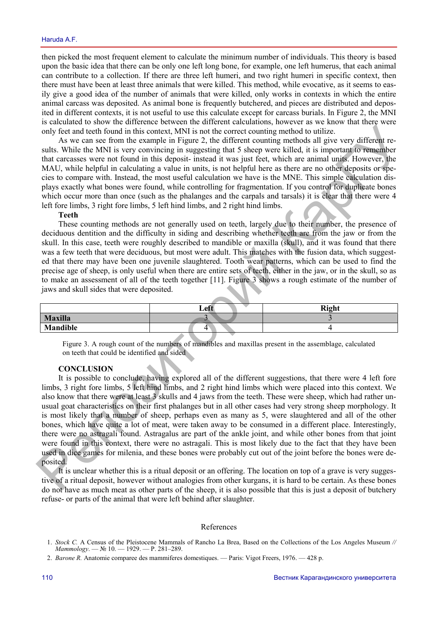then picked the most frequent element to calculate the minimum number of individuals. This theory is based upon the basic idea that there can be only one left long bone, for example, one left humerus, that each animal can contribute to a collection. If there are three left humeri, and two right humeri in specific context, then there must have been at least three animals that were killed. This method, while evocative, as it seems to easily give a good idea of the number of animals that were killed, only works in contexts in which the entire animal carcass was deposited. As animal bone is frequently butchered, and pieces are distributed and deposited in different contexts, it is not useful to use this calculate except for carcass burials. In Figure 2, the MNI is calculated to show the difference between the different calculations, however as we know that there were only feet and teeth found in this context, MNI is not the correct counting method to utilize.

As we can see from the example in Figure 2, the different counting methods all give very different results. While the MNI is very convincing in suggesting that 5 sheep were killed, it is important to remember that carcasses were not found in this deposit- instead it was just feet, which are animal units. However, the MAU, while helpful in calculating a value in units, is not helpful here as there are no other deposits or species to compare with. Instead, the most useful calculation we have is the MNE. This simple calculation displays exactly what bones were found, while controlling for fragmentation. If you control for duplicate bones which occur more than once (such as the phalanges and the carpals and tarsals) it is clear that there were 4 left fore limbs, 3 right fore limbs, 5 left hind limbs, and 2 right hind limbs.

#### **Teeth**

These counting methods are not generally used on teeth, largely due to their number, the presence of deciduous dentition and the difficulty in siding and describing whether teeth are from the jaw or from the skull. In this case, teeth were roughly described to mandible or maxilla (skull), and it was found that there was a few teeth that were deciduous, but most were adult. This matches with the fusion data, which suggested that there may have been one juvenile slaughtered. Tooth wear patterns, which can be used to find the precise age of sheep, is only useful when there are entire sets of teeth, either in the jaw, or in the skull, so as to make an assessment of all of the teeth together [11]. Figure 3 shows a rough estimate of the number of jaws and skull sides that were deposited.

|                 | Left                     | <b>Right</b> |
|-----------------|--------------------------|--------------|
| <b>Maxilla</b>  | $\overline{\phantom{a}}$ |              |
| <b>Mandible</b> | ,,                       |              |

Figure 3. A rough count of the numbers of mandibles and maxillas present in the assemblage, calculated on teeth that could be identified and sided

#### **CONCLUSION**

It is possible to conclude, having explored all of the different suggestions, that there were 4 left fore limbs, 3 right fore limbs, 5 left hind limbs, and 2 right hind limbs which were placed into this context. We also know that there were at least 3 skulls and 4 jaws from the teeth. These were sheep, which had rather unusual goat characteristics on their first phalanges but in all other cases had very strong sheep morphology. It is most likely that a number of sheep, perhaps even as many as 5, were slaughtered and all of the other bones, which have quite a lot of meat, were taken away to be consumed in a different place. Interestingly, there were no astragali found. Astragalus are part of the ankle joint, and while other bones from that joint were found in this context, there were no astragali. This is most likely due to the fact that they have been used in dice games for milenia, and these bones were probably cut out of the joint before the bones were deposited. only fee tand teen there can term in the constraints. While in our the correct counting melobels all give very different ne-<br>that is we can see from the example in Figure 2, the different counting melobes all give very di

It is unclear whether this is a ritual deposit or an offering. The location on top of a grave is very suggestive of a ritual deposit, however without analogies from other kurgans, it is hard to be certain. As these bones do not have as much meat as other parts of the sheep, it is also possible that this is just a deposit of butchery refuse- or parts of the animal that were left behind after slaughter.

#### References

- 1. *Stock C.* A Census of the Pleistocene Mammals of Rancho La Brea, Based on the Collections of the Los Angeles Museum *// Mammology*. — № 10. — 1929. — P. 281–289.
- 2. *Barone R.* Anatomie comparee des mammiferes domestiques. Paris: Vigot Freers, 1976. 428 p.